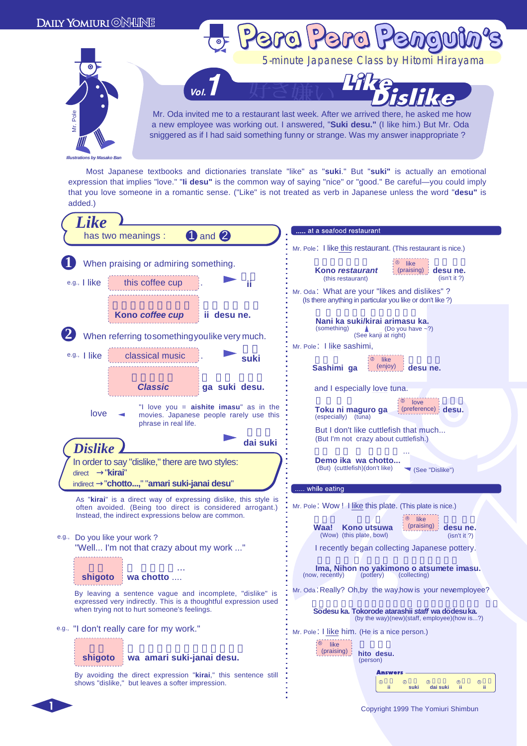

 Most Japanese textbooks and dictionaries translate "like" as "**suki**." But "**suki"** is actually an emotional expression that implies "love." "**Ii desu"** is the common way of saying "nice" or "good." Be careful—you could imply that you love someone in a romantic sense. ("Like" is not treated as verb in Japanese unless the word "**desu"** is added.)

| Like                                                                                                                                                                       |                                                                                                                |
|----------------------------------------------------------------------------------------------------------------------------------------------------------------------------|----------------------------------------------------------------------------------------------------------------|
| 1 and 2<br>has two meanings :                                                                                                                                              | at a seafood restaurant                                                                                        |
|                                                                                                                                                                            | Mr. Pole: I like this restaurant. (This restaurant is nice.)                                                   |
| When praising or admiring something.<br>this coffee cup<br>$e.g.,$ l like<br>ii                                                                                            | $\circ$ like<br>Kono restaurant<br>(praising) : <b>desu ne.</b><br>(isn't it?)<br>(this restaurant)            |
|                                                                                                                                                                            | Mr. Oda: What are your "likes and dislikes" ?<br>(Is there anything in particular you like or don't like?)     |
| Kono coffee cup<br>ii desu ne.<br>When referring to something you like very much.                                                                                          | Nani ka suki/kirai arimasu ka.<br>(something)<br>(Do you have $\sim$ ?)<br>(See kanji at right)                |
|                                                                                                                                                                            | Mr. Pole: I like sashimi,                                                                                      |
| e.g.,   like<br>classical music<br>suki                                                                                                                                    | <sup>2</sup> like<br>(enjoy)<br>Sashimi ga<br>desu ne.                                                         |
| <b>Classic</b><br>ga suki desu.                                                                                                                                            | and I especially love tuna.                                                                                    |
| "I love you = <b>aishite imasu</b> " as in the<br>love<br>movies. Japanese people rarely use this<br>phrase in real life.                                                  | $\frac{1}{2}$ love<br>(preference) desu.<br>Toku ni maguro ga<br>(especially) (tuna)                           |
| dai suki<br><b>Dislike</b>                                                                                                                                                 | But I don't like cuttlefish that much<br>(But I'm not crazy about cuttlefish.)                                 |
| In order to say "dislike," there are two styles:<br>"kirai"<br>direct<br>"chotto," "amari suki-janai desu"<br><i>indirect</i>                                              | Demo ika wa chotto<br>(But) (cuttlefish)(don't like)<br>(See "Dislike")<br>while eating                        |
| As "kirai" is a direct way of expressing dislike, this style is                                                                                                            |                                                                                                                |
| often avoided. (Being too direct is considered arrogant.)<br>Instead, the indirect expressions below are common.                                                           | Mr. Pole: Wow! I like this plate. (This plate is nice.)                                                        |
| e.g., Do you like your work?                                                                                                                                               | ∶⊕ like<br>(praising) desu ne.<br>Waa!<br>Kono utsuwa<br>(Wow) (this plate, bowl)<br>(isn't it?)               |
| "Well I'm not that crazy about my work "                                                                                                                                   | I recently began collecting Japanese pottery.                                                                  |
| shigoto<br>wa chotto                                                                                                                                                       | Ima, Nihon no yakimono o atsumete imasu.<br>(now, recently)<br>(pottery)<br>(collecting)                       |
| By leaving a sentence vague and incomplete, "dislike" is<br>expressed very indirectly. This is a thoughtful expression used<br>when trying not to hurt someone's feelings. | Mr. Oda: Really? Oh, by the way, how is your newemployee?<br>Sōdesu ka. Tokorode atarashii staff wa dōdesu ka. |
| e.g., "I don't really care for my work."                                                                                                                                   | (by the way)(new)(staff, employee)(how is?)                                                                    |
| wa amari suki-janai desu.<br>shigoto                                                                                                                                       | Mr. Pole: I like him. (He is a nice person.)<br>: ⑤<br>like<br>(praising) :<br>hito desu.<br>(person)          |
| By avoiding the direct expression "kirai," this sentence still<br>shows "dislike," but leaves a softer impression.                                                         | <b>Answers</b><br>$\circledcirc$<br>➁<br>⊚<br>⊕<br>➀<br>-ii<br>ji.<br>ji.<br>suki<br>dai suki                  |